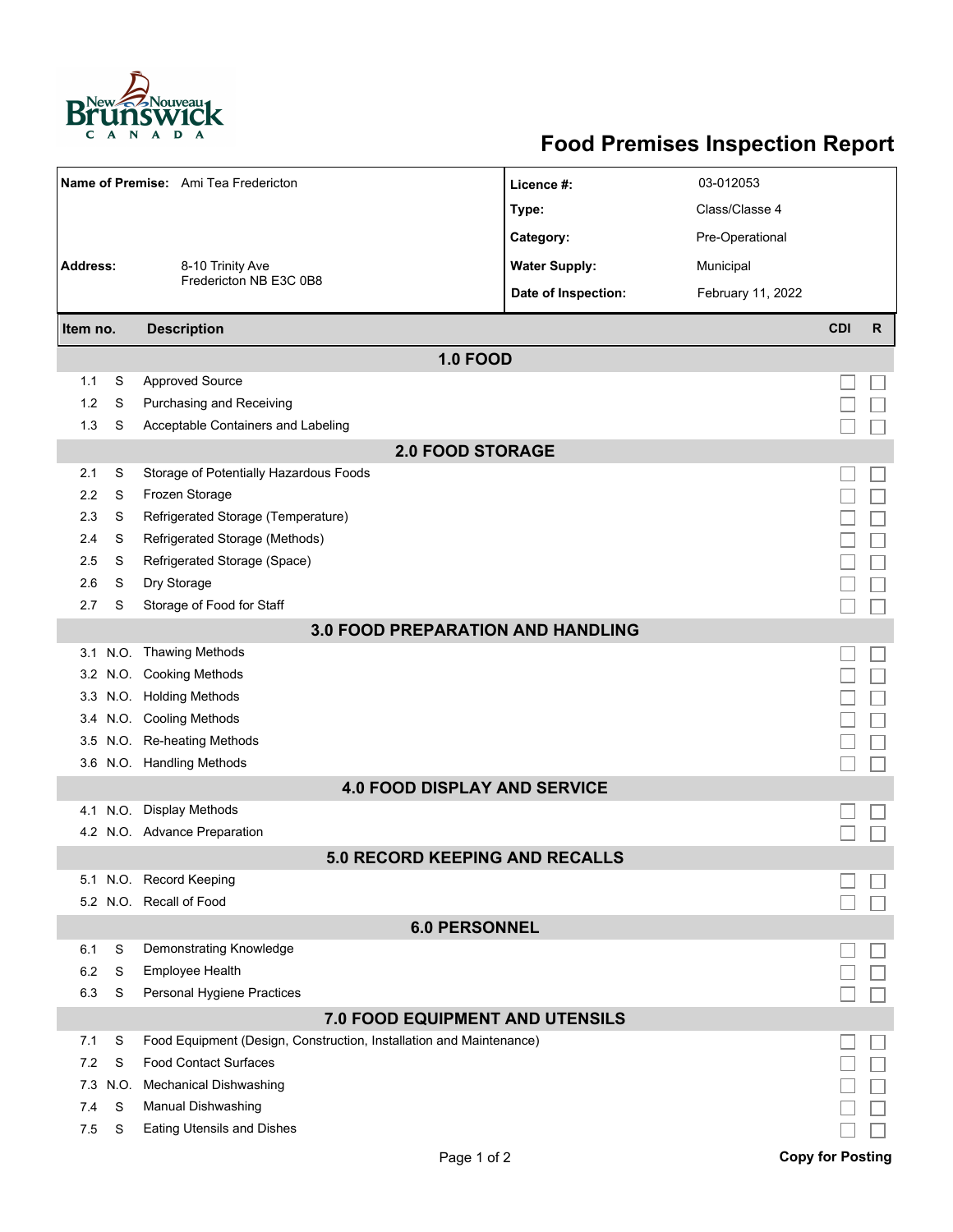

## **Food Premises Inspection Report**

| Name of Premise: Ami Tea Fredericton     |                                 |                                                                     | Licence #:           | 03-012053         |                         |              |  |  |  |  |
|------------------------------------------|---------------------------------|---------------------------------------------------------------------|----------------------|-------------------|-------------------------|--------------|--|--|--|--|
|                                          |                                 |                                                                     | Type:                | Class/Classe 4    |                         |              |  |  |  |  |
|                                          |                                 |                                                                     | Category:            | Pre-Operational   |                         |              |  |  |  |  |
| <b>Address:</b>                          |                                 | 8-10 Trinity Ave<br>Fredericton NB E3C 0B8                          | <b>Water Supply:</b> | Municipal         |                         |              |  |  |  |  |
|                                          |                                 |                                                                     | Date of Inspection:  | February 11, 2022 |                         |              |  |  |  |  |
|                                          |                                 |                                                                     |                      |                   |                         |              |  |  |  |  |
| Item no.                                 |                                 | <b>Description</b>                                                  |                      |                   | <b>CDI</b>              | $\mathsf{R}$ |  |  |  |  |
|                                          |                                 | <b>1.0 FOOD</b>                                                     |                      |                   |                         |              |  |  |  |  |
| 1.1                                      | S                               | <b>Approved Source</b>                                              |                      |                   |                         |              |  |  |  |  |
| 1.2                                      | S                               | Purchasing and Receiving                                            |                      |                   |                         |              |  |  |  |  |
| 1.3                                      | S                               | Acceptable Containers and Labeling                                  |                      |                   |                         |              |  |  |  |  |
| <b>2.0 FOOD STORAGE</b>                  |                                 |                                                                     |                      |                   |                         |              |  |  |  |  |
| 2.1                                      | S                               | Storage of Potentially Hazardous Foods                              |                      |                   |                         |              |  |  |  |  |
| 2.2                                      | S                               | Frozen Storage                                                      |                      |                   |                         |              |  |  |  |  |
| 2.3                                      | S                               | Refrigerated Storage (Temperature)                                  |                      |                   |                         |              |  |  |  |  |
| 2.4                                      | S                               | Refrigerated Storage (Methods)                                      |                      |                   |                         |              |  |  |  |  |
| 2.5                                      | S                               | Refrigerated Storage (Space)                                        |                      |                   |                         |              |  |  |  |  |
| 2.6                                      | S                               | Dry Storage                                                         |                      |                   |                         |              |  |  |  |  |
| 2.7                                      | S                               | Storage of Food for Staff                                           |                      |                   |                         |              |  |  |  |  |
| <b>3.0 FOOD PREPARATION AND HANDLING</b> |                                 |                                                                     |                      |                   |                         |              |  |  |  |  |
|                                          |                                 | 3.1 N.O. Thawing Methods                                            |                      |                   |                         |              |  |  |  |  |
|                                          |                                 | 3.2 N.O. Cooking Methods                                            |                      |                   |                         |              |  |  |  |  |
|                                          |                                 | 3.3 N.O. Holding Methods                                            |                      |                   |                         |              |  |  |  |  |
|                                          |                                 | 3.4 N.O. Cooling Methods                                            |                      |                   |                         |              |  |  |  |  |
| 3.5                                      |                                 | N.O. Re-heating Methods                                             |                      |                   |                         |              |  |  |  |  |
|                                          |                                 | 3.6 N.O. Handling Methods                                           |                      |                   |                         |              |  |  |  |  |
| <b>4.0 FOOD DISPLAY AND SERVICE</b>      |                                 |                                                                     |                      |                   |                         |              |  |  |  |  |
| 4.1                                      | N.O.                            | <b>Display Methods</b>                                              |                      |                   |                         |              |  |  |  |  |
|                                          |                                 | 4.2 N.O. Advance Preparation                                        |                      |                   |                         |              |  |  |  |  |
|                                          |                                 | <b>5.0 RECORD KEEPING AND RECALLS</b>                               |                      |                   |                         |              |  |  |  |  |
|                                          |                                 | 5.1 N.O. Record Keeping                                             |                      |                   |                         |              |  |  |  |  |
|                                          |                                 | 5.2 N.O. Recall of Food                                             |                      |                   |                         |              |  |  |  |  |
| <b>6.0 PERSONNEL</b>                     |                                 |                                                                     |                      |                   |                         |              |  |  |  |  |
| 6.1                                      | S                               | Demonstrating Knowledge                                             |                      |                   |                         |              |  |  |  |  |
| 6.2                                      | S                               | <b>Employee Health</b>                                              |                      |                   |                         |              |  |  |  |  |
| 6.3                                      | S                               | Personal Hygiene Practices                                          |                      |                   |                         |              |  |  |  |  |
|                                          | 7.0 FOOD EQUIPMENT AND UTENSILS |                                                                     |                      |                   |                         |              |  |  |  |  |
| 7.1                                      | S                               | Food Equipment (Design, Construction, Installation and Maintenance) |                      |                   |                         |              |  |  |  |  |
| 7.2                                      | S                               | <b>Food Contact Surfaces</b>                                        |                      |                   |                         |              |  |  |  |  |
| 7.3                                      | N.O.                            | <b>Mechanical Dishwashing</b>                                       |                      |                   |                         |              |  |  |  |  |
| 7.4                                      | S                               | Manual Dishwashing                                                  |                      |                   |                         |              |  |  |  |  |
| 7.5                                      | S                               | Eating Utensils and Dishes                                          |                      |                   |                         |              |  |  |  |  |
|                                          |                                 | Page 1 of 2                                                         |                      |                   | <b>Copy for Posting</b> |              |  |  |  |  |